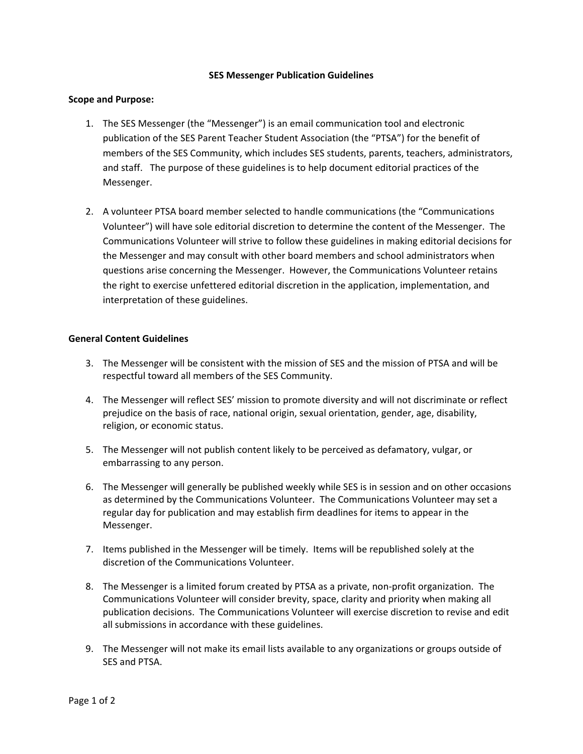## **SES Messenger Publication Guidelines**

# **Scope and Purpose:**

- 1. The SES Messenger (the "Messenger") is an email communication tool and electronic publication of the SES Parent Teacher Student Association (the "PTSA") for the benefit of members of the SES Community, which includes SES students, parents, teachers, administrators, and staff. The purpose of these guidelines is to help document editorial practices of the Messenger.
- 2. A volunteer PTSA board member selected to handle communications (the "Communications Volunteer") will have sole editorial discretion to determine the content of the Messenger. The Communications Volunteer will strive to follow these guidelines in making editorial decisions for the Messenger and may consult with other board members and school administrators when questions arise concerning the Messenger. However, the Communications Volunteer retains the right to exercise unfettered editorial discretion in the application, implementation, and interpretation of these guidelines.

# **General Content Guidelines**

- 3. The Messenger will be consistent with the mission of SES and the mission of PTSA and will be respectful toward all members of the SES Community.
- 4. The Messenger will reflect SES' mission to promote diversity and will not discriminate or reflect prejudice on the basis of race, national origin, sexual orientation, gender, age, disability, religion, or economic status.
- 5. The Messenger will not publish content likely to be perceived as defamatory, vulgar, or embarrassing to any person.
- 6. The Messenger will generally be published weekly while SES is in session and on other occasions as determined by the Communications Volunteer. The Communications Volunteer may set a regular day for publication and may establish firm deadlines for items to appear in the Messenger.
- 7. Items published in the Messenger will be timely. Items will be republished solely at the discretion of the Communications Volunteer.
- 8. The Messenger is a limited forum created by PTSA as a private, non-profit organization. The Communications Volunteer will consider brevity, space, clarity and priority when making all publication decisions. The Communications Volunteer will exercise discretion to revise and edit all submissions in accordance with these guidelines.
- 9. The Messenger will not make its email lists available to any organizations or groups outside of SES and PTSA.